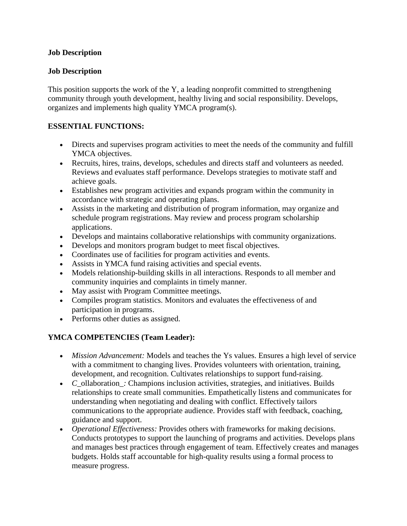### **Job Description**

### **Job Description**

This position supports the work of the Y, a leading nonprofit committed to strengthening community through youth development, healthy living and social responsibility. Develops, organizes and implements high quality YMCA program(s).

# **ESSENTIAL FUNCTIONS:**

- Directs and supervises program activities to meet the needs of the community and fulfill YMCA objectives.
- Recruits, hires, trains, develops, schedules and directs staff and volunteers as needed. Reviews and evaluates staff performance. Develops strategies to motivate staff and achieve goals.
- Establishes new program activities and expands program within the community in accordance with strategic and operating plans.
- Assists in the marketing and distribution of program information, may organize and schedule program registrations. May review and process program scholarship applications.
- Develops and maintains collaborative relationships with community organizations.
- Develops and monitors program budget to meet fiscal objectives.
- Coordinates use of facilities for program activities and events.
- Assists in YMCA fund raising activities and special events.
- Models relationship-building skills in all interactions. Responds to all member and community inquiries and complaints in timely manner.
- May assist with Program Committee meetings.
- Compiles program statistics. Monitors and evaluates the effectiveness of and participation in programs.
- Performs other duties as assigned.

### **YMCA COMPETENCIES (Team Leader):**

- *Mission Advancement:* Models and teaches the Ys values. Ensures a high level of service with a commitment to changing lives. Provides volunteers with orientation, training, development, and recognition. Cultivates relationships to support fund-raising.
- *C\_*ollaboration*\_:* Champions inclusion activities, strategies, and initiatives. Builds relationships to create small communities. Empathetically listens and communicates for understanding when negotiating and dealing with conflict. Effectively tailors communications to the appropriate audience. Provides staff with feedback, coaching, guidance and support.
- *Operational Effectiveness:* Provides others with frameworks for making decisions. Conducts prototypes to support the launching of programs and activities. Develops plans and manages best practices through engagement of team. Effectively creates and manages budgets. Holds staff accountable for high-quality results using a formal process to measure progress.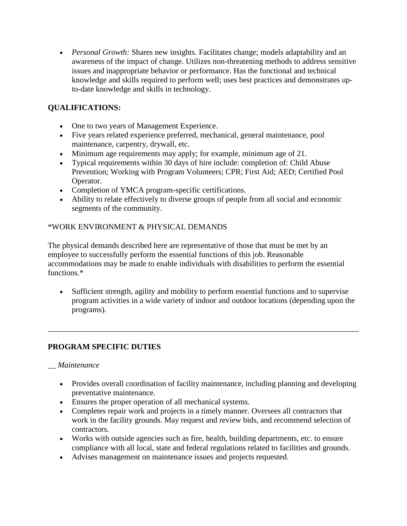• *Personal Growth:* Shares new insights. Facilitates change; models adaptability and an awareness of the impact of change. Utilizes non-threatening methods to address sensitive issues and inappropriate behavior or performance. Has the functional and technical knowledge and skills required to perform well; uses best practices and demonstrates upto-date knowledge and skills in technology.

# **QUALIFICATIONS:**

- One to two years of Management Experience.
- Five years related experience preferred, mechanical, general maintenance, pool maintenance, carpentry, drywall, etc.
- Minimum age requirements may apply; for example, minimum age of 21.
- Typical requirements within 30 days of hire include: completion of: Child Abuse Prevention; Working with Program Volunteers; CPR; First Aid; AED; Certified Pool Operator.
- Completion of YMCA program-specific certifications.
- Ability to relate effectively to diverse groups of people from all social and economic segments of the community.

# \*WORK ENVIRONMENT & PHYSICAL DEMANDS

The physical demands described here are representative of those that must be met by an employee to successfully perform the essential functions of this job. Reasonable accommodations may be made to enable individuals with disabilities to perform the essential functions.\*

• Sufficient strength, agility and mobility to perform essential functions and to supervise program activities in a wide variety of indoor and outdoor locations (depending upon the programs).

\_\_\_\_\_\_\_\_\_\_\_\_\_\_\_\_\_\_\_\_\_\_\_\_\_\_\_\_\_\_\_\_\_\_\_\_\_\_\_\_\_\_\_\_\_\_\_\_\_\_\_\_\_\_\_\_\_\_\_\_\_\_\_\_\_\_\_\_\_\_\_\_\_\_\_\_\_\_

# **PROGRAM SPECIFIC DUTIES**

#### *\_\_ Maintenance*

- Provides overall coordination of facility maintenance, including planning and developing preventative maintenance.
- Ensures the proper operation of all mechanical systems.
- Completes repair work and projects in a timely manner. Oversees all contractors that work in the facility grounds. May request and review bids, and recommend selection of contractors.
- Works with outside agencies such as fire, health, building departments, etc. to ensure compliance with all local, state and federal regulations related to facilities and grounds.
- Advises management on maintenance issues and projects requested.